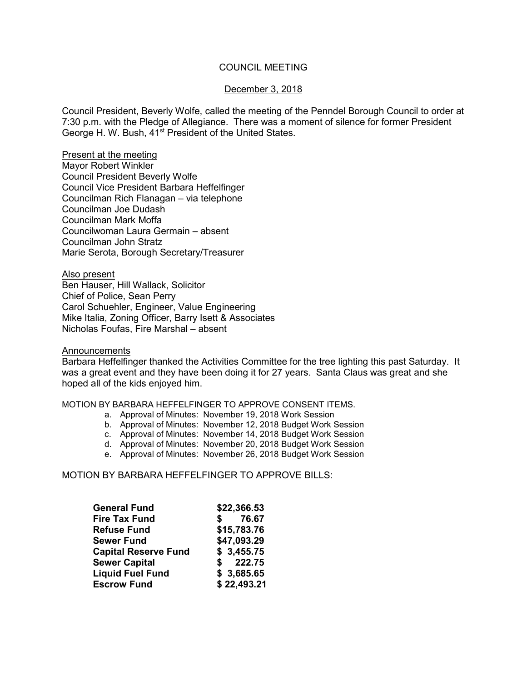# COUNCIL MEETING

## December 3, 2018

Council President, Beverly Wolfe, called the meeting of the Penndel Borough Council to order at 7:30 p.m. with the Pledge of Allegiance. There was a moment of silence for former President George H. W. Bush, 41<sup>st</sup> President of the United States.

Present at the meeting Mayor Robert Winkler Council President Beverly Wolfe Council Vice President Barbara Heffelfinger Councilman Rich Flanagan – via telephone Councilman Joe Dudash Councilman Mark Moffa Councilwoman Laura Germain – absent Councilman John Stratz Marie Serota, Borough Secretary/Treasurer

Also present Ben Hauser, Hill Wallack, Solicitor Chief of Police, Sean Perry Carol Schuehler, Engineer, Value Engineering Mike Italia, Zoning Officer, Barry Isett & Associates Nicholas Foufas, Fire Marshal – absent

#### **Announcements**

Barbara Heffelfinger thanked the Activities Committee for the tree lighting this past Saturday. It was a great event and they have been doing it for 27 years. Santa Claus was great and she hoped all of the kids enjoyed him.

#### MOTION BY BARBARA HEFFELFINGER TO APPROVE CONSENT ITEMS.

- a. Approval of Minutes: November 19, 2018 Work Session
- b. Approval of Minutes: November 12, 2018 Budget Work Session
- c. Approval of Minutes: November 14, 2018 Budget Work Session
- d. Approval of Minutes: November 20, 2018 Budget Work Session
- e. Approval of Minutes: November 26, 2018 Budget Work Session

## MOTION BY BARBARA HEFFEL FINGER TO APPROVE BILLS:

| <b>General Fund</b>         | \$22,366.53 |  |
|-----------------------------|-------------|--|
| <b>Fire Tax Fund</b>        | 76.67<br>S. |  |
| <b>Refuse Fund</b>          | \$15,783.76 |  |
| <b>Sewer Fund</b>           | \$47,093.29 |  |
| <b>Capital Reserve Fund</b> | \$3,455.75  |  |
| <b>Sewer Capital</b>        | \$222.75    |  |
| <b>Liquid Fuel Fund</b>     | \$3,685.65  |  |
| <b>Escrow Fund</b>          | \$22,493.21 |  |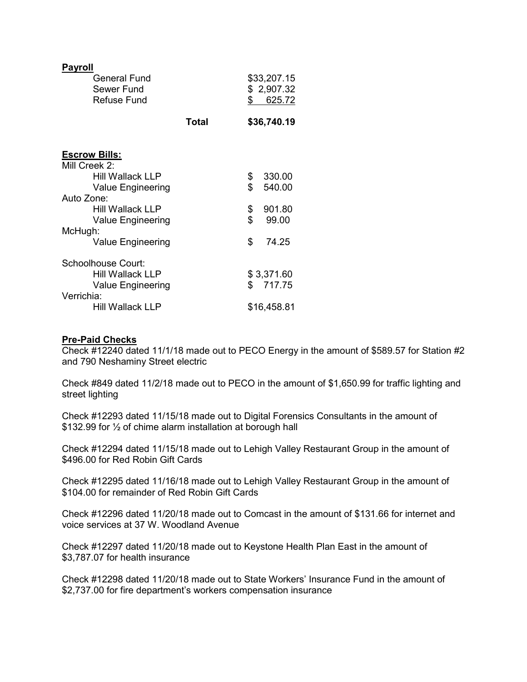| <b>Payroll</b><br><b>General Fund</b><br>Sewer Fund<br><b>Refuse Fund</b> |              | \$       | \$33,207.15<br>\$2,907.32<br>625.72 |  |
|---------------------------------------------------------------------------|--------------|----------|-------------------------------------|--|
|                                                                           | <b>Total</b> |          | \$36,740.19                         |  |
| <b>Escrow Bills:</b>                                                      |              |          |                                     |  |
| Mill Creek 2:<br>Hill Wallack LLP                                         |              |          |                                     |  |
| <b>Value Engineering</b>                                                  |              | \$<br>\$ | 330.00<br>540.00                    |  |
| Auto Zone:                                                                |              |          |                                     |  |
| <b>Hill Wallack LLP</b>                                                   |              | \$       | 901.80                              |  |
| <b>Value Engineering</b>                                                  |              | \$       | 99.00                               |  |
| McHugh:                                                                   |              |          |                                     |  |
| Value Engineering                                                         |              | \$       | 74.25                               |  |
| Schoolhouse Court:                                                        |              |          |                                     |  |
| <b>Hill Wallack LLP</b>                                                   |              |          | \$3,371.60                          |  |
| <b>Value Engineering</b>                                                  |              |          | \$717.75                            |  |
| Verrichia:                                                                |              |          |                                     |  |
| <b>Hill Wallack LLP</b>                                                   |              |          | \$16,458.81                         |  |

## **Pre-Paid Checks**

Check #12240 dated 11/1/18 made out to PECO Energy in the amount of \$589.57 for Station #2 and 790 Neshaminy Street electric

Check #849 dated 11/2/18 made out to PECO in the amount of \$1,650.99 for traffic lighting and street lighting

Check #12293 dated 11/15/18 made out to Digital Forensics Consultants in the amount of \$132.99 for ½ of chime alarm installation at borough hall

Check #12294 dated 11/15/18 made out to Lehigh Valley Restaurant Group in the amount of \$496.00 for Red Robin Gift Cards

Check #12295 dated 11/16/18 made out to Lehigh Valley Restaurant Group in the amount of \$104.00 for remainder of Red Robin Gift Cards

Check #12296 dated 11/20/18 made out to Comcast in the amount of \$131.66 for internet and voice services at 37 W. Woodland Avenue

Check #12297 dated 11/20/18 made out to Keystone Health Plan East in the amount of \$3,787.07 for health insurance

Check #12298 dated 11/20/18 made out to State Workers' Insurance Fund in the amount of \$2,737.00 for fire department's workers compensation insurance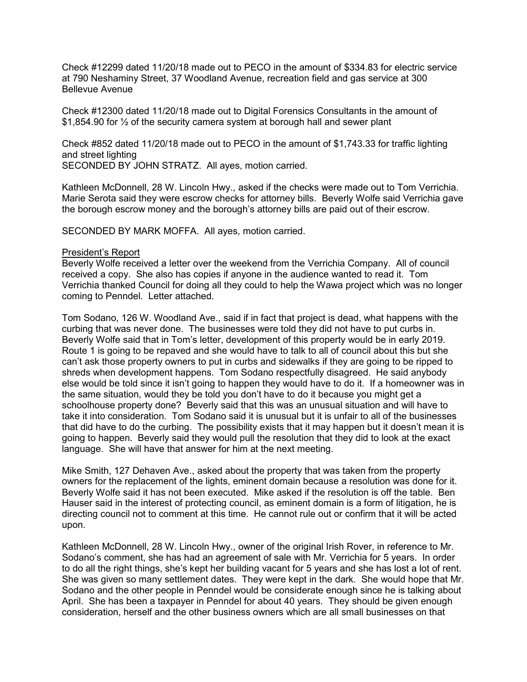Check #12299 dated 11/20/18 made out to PECO in the amount of \$334.83 for electric service at 790 Neshaminy Street, 37 Woodland Avenue, recreation field and gas service at 300 Bellevue Avenue

Check #12300 dated 11/20/18 made out to Digital Forensics Consultants in the amount of \$1,854.90 for ½ of the security camera system at borough hall and sewer plant

Check #852 dated 11/20/18 made out to PECO in the amount of \$1,743.33 for traffic lighting and street lighting SECONDED BY JOHN STRATZ. All ayes, motion carried.

Kathleen McDonnell, 28 W. Lincoln Hwy., asked if the checks were made out to Tom Verrichia. Marie Serota said they were escrow checks for attorney bills. Beverly Wolfe said Verrichia gave the borough escrow money and the borough's attorney bills are paid out of their escrow.

SECONDED BY MARK MOFFA. All ayes, motion carried.

#### President's Report

Beverly Wolfe received a letter over the weekend from the Verrichia Company. All of council received a copy. She also has copies if anyone in the audience wanted to read it. Tom Verrichia thanked Council for doing all they could to help the Wawa project which was no longer coming to Penndel. Letter attached.

Tom Sodano, 126 W. Woodland Ave., said if in fact that project is dead, what happens with the curbing that was never done. The businesses were told they did not have to put curbs in. Beverly Wolfe said that in Tom's letter, development of this property would be in early 2019. Route 1 is going to be repaved and she would have to talk to all of council about this but she can't ask those property owners to put in curbs and sidewalks if they are going to be ripped to shreds when development happens. Tom Sodano respectfully disagreed. He said anybody else would be told since it isn't going to happen they would have to do it. If a homeowner was in the same situation, would they be told you don't have to do it because you might get a schoolhouse property done? Beverly said that this was an unusual situation and will have to take it into consideration. Tom Sodano said it is unusual but it is unfair to all of the businesses that did have to do the curbing. The possibility exists that it may happen but it doesn't mean it is going to happen. Beverly said they would pull the resolution that they did to look at the exact language. She will have that answer for him at the next meeting.

Mike Smith, 127 Dehaven Ave., asked about the property that was taken from the property owners for the replacement of the lights, eminent domain because a resolution was done for it. Beverly Wolfe said it has not been executed. Mike asked if the resolution is off the table. Ben Hauser said in the interest of protecting council, as eminent domain is a form of litigation, he is directing council not to comment at this time. He cannot rule out or confirm that it will be acted upon.

Kathleen McDonnell, 28 W. Lincoln Hwy., owner of the original Irish Rover, in reference to Mr. Sodano's comment, she has had an agreement of sale with Mr. Verrichia for 5 years. In order to do all the right things, she's kept her building vacant for 5 years and she has lost a lot of rent. She was given so many settlement dates. They were kept in the dark. She would hope that Mr. Sodano and the other people in Penndel would be considerate enough since he is talking about April. She has been a taxpayer in Penndel for about 40 years. They should be given enough consideration, herself and the other business owners which are all small businesses on that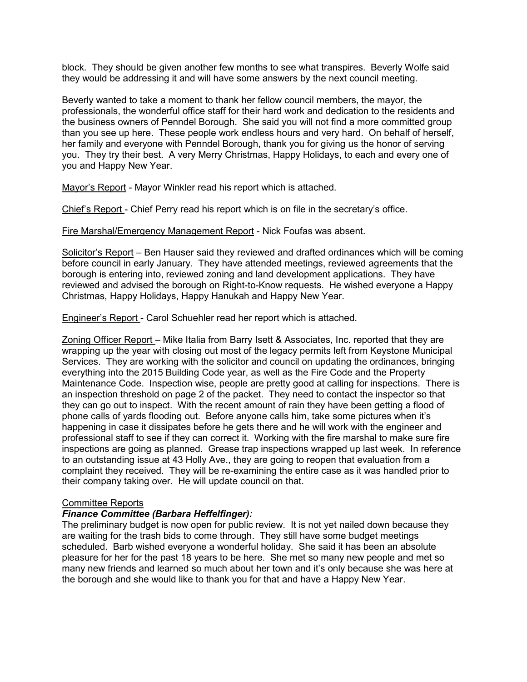block. They should be given another few months to see what transpires. Beverly Wolfe said they would be addressing it and will have some answers by the next council meeting.

Beverly wanted to take a moment to thank her fellow council members, the mayor, the professionals, the wonderful office staff for their hard work and dedication to the residents and the business owners of Penndel Borough. She said you will not find a more committed group than you see up here. These people work endless hours and very hard. On behalf of herself, her family and everyone with Penndel Borough, thank you for giving us the honor of serving you. They try their best. A very Merry Christmas, Happy Holidays, to each and every one of you and Happy New Year.

Mayor's Report - Mayor Winkler read his report which is attached.

Chief's Report - Chief Perry read his report which is on file in the secretary's office.

Fire Marshal/Emergency Management Report - Nick Foufas was absent.

Solicitor's Report – Ben Hauser said they reviewed and drafted ordinances which will be coming before council in early January. They have attended meetings, reviewed agreements that the borough is entering into, reviewed zoning and land development applications. They have reviewed and advised the borough on Right-to-Know requests. He wished everyone a Happy Christmas, Happy Holidays, Happy Hanukah and Happy New Year.

Engineer's Report - Carol Schuehler read her report which is attached.

Zoning Officer Report – Mike Italia from Barry Isett & Associates, Inc. reported that they are wrapping up the year with closing out most of the legacy permits left from Keystone Municipal Services. They are working with the solicitor and council on updating the ordinances, bringing everything into the 2015 Building Code year, as well as the Fire Code and the Property Maintenance Code. Inspection wise, people are pretty good at calling for inspections. There is an inspection threshold on page 2 of the packet. They need to contact the inspector so that they can go out to inspect. With the recent amount of rain they have been getting a flood of phone calls of yards flooding out. Before anyone calls him, take some pictures when it's happening in case it dissipates before he gets there and he will work with the engineer and professional staff to see if they can correct it. Working with the fire marshal to make sure fire inspections are going as planned. Grease trap inspections wrapped up last week. In reference to an outstanding issue at 43 Holly Ave., they are going to reopen that evaluation from a complaint they received. They will be re-examining the entire case as it was handled prior to their company taking over. He will update council on that.

## Committee Reports

# *Finance Committee (Barbara Heffelfinger):*

The preliminary budget is now open for public review. It is not yet nailed down because they are waiting for the trash bids to come through. They still have some budget meetings scheduled. Barb wished everyone a wonderful holiday. She said it has been an absolute pleasure for her for the past 18 years to be here. She met so many new people and met so many new friends and learned so much about her town and it's only because she was here at the borough and she would like to thank you for that and have a Happy New Year.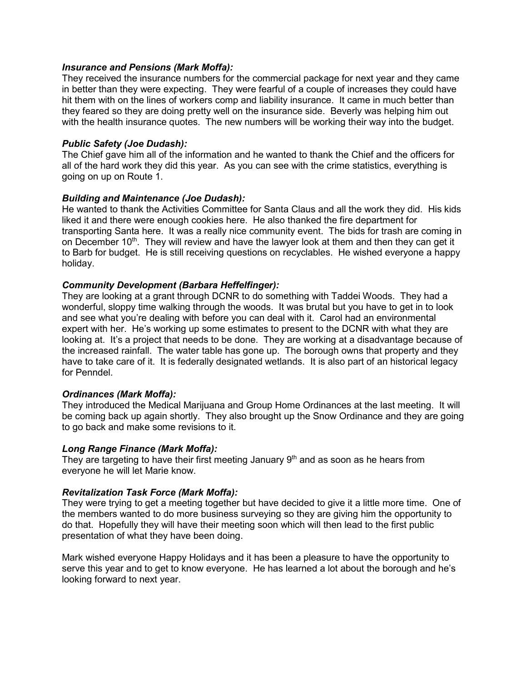## *Insurance and Pensions (Mark Moffa):*

They received the insurance numbers for the commercial package for next year and they came in better than they were expecting. They were fearful of a couple of increases they could have hit them with on the lines of workers comp and liability insurance. It came in much better than they feared so they are doing pretty well on the insurance side. Beverly was helping him out with the health insurance quotes. The new numbers will be working their way into the budget.

## *Public Safety (Joe Dudash):*

The Chief gave him all of the information and he wanted to thank the Chief and the officers for all of the hard work they did this year. As you can see with the crime statistics, everything is going on up on Route 1.

## *Building and Maintenance (Joe Dudash):*

He wanted to thank the Activities Committee for Santa Claus and all the work they did. His kids liked it and there were enough cookies here. He also thanked the fire department for transporting Santa here. It was a really nice community event. The bids for trash are coming in on December 10<sup>th</sup>. They will review and have the lawyer look at them and then they can get it to Barb for budget. He is still receiving questions on recyclables. He wished everyone a happy holiday.

# *Community Development (Barbara Heffelfinger):*

They are looking at a grant through DCNR to do something with Taddei Woods. They had a wonderful, sloppy time walking through the woods. It was brutal but you have to get in to look and see what you're dealing with before you can deal with it. Carol had an environmental expert with her. He's working up some estimates to present to the DCNR with what they are looking at. It's a project that needs to be done. They are working at a disadvantage because of the increased rainfall. The water table has gone up. The borough owns that property and they have to take care of it. It is federally designated wetlands. It is also part of an historical legacy for Penndel.

# *Ordinances (Mark Moffa):*

They introduced the Medical Marijuana and Group Home Ordinances at the last meeting. It will be coming back up again shortly. They also brought up the Snow Ordinance and they are going to go back and make some revisions to it.

## *Long Range Finance (Mark Moffa):*

They are targeting to have their first meeting January  $9<sup>th</sup>$  and as soon as he hears from everyone he will let Marie know.

# *Revitalization Task Force (Mark Moffa):*

They were trying to get a meeting together but have decided to give it a little more time. One of the members wanted to do more business surveying so they are giving him the opportunity to do that. Hopefully they will have their meeting soon which will then lead to the first public presentation of what they have been doing.

Mark wished everyone Happy Holidays and it has been a pleasure to have the opportunity to serve this year and to get to know everyone. He has learned a lot about the borough and he's looking forward to next year.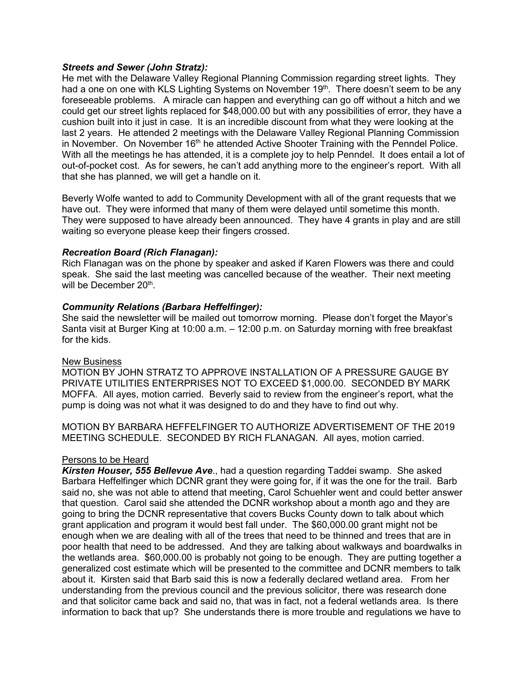## *Streets and Sewer (John Stratz):*

He met with the Delaware Valley Regional Planning Commission regarding street lights. They had a one on one with KLS Lighting Systems on November 19<sup>th</sup>. There doesn't seem to be any foreseeable problems. A miracle can happen and everything can go off without a hitch and we could get our street lights replaced for \$48,000.00 but with any possibilities of error, they have a cushion built into it just in case. It is an incredible discount from what they were looking at the last 2 years. He attended 2 meetings with the Delaware Valley Regional Planning Commission in November. On November 16<sup>th</sup> he attended Active Shooter Training with the Penndel Police. With all the meetings he has attended, it is a complete joy to help Penndel. It does entail a lot of out-of-pocket cost. As for sewers, he can't add anything more to the engineer's report. With all that she has planned, we will get a handle on it.

Beverly Wolfe wanted to add to Community Development with all of the grant requests that we have out. They were informed that many of them were delayed until sometime this month. They were supposed to have already been announced. They have 4 grants in play and are still waiting so everyone please keep their fingers crossed.

## *Recreation Board (Rich Flanagan):*

Rich Flanagan was on the phone by speaker and asked if Karen Flowers was there and could speak. She said the last meeting was cancelled because of the weather. Their next meeting will be December 20<sup>th</sup>.

## *Community Relations (Barbara Heffelfinger):*

She said the newsletter will be mailed out tomorrow morning. Please don't forget the Mayor's Santa visit at Burger King at 10:00 a.m. – 12:00 p.m. on Saturday morning with free breakfast for the kids.

## New Business

MOTION BY JOHN STRATZ TO APPROVE INSTALLATION OF A PRESSURE GAUGE BY PRIVATE UTILITIES ENTERPRISES NOT TO EXCEED \$1,000.00. SECONDED BY MARK MOFFA. All ayes, motion carried. Beverly said to review from the engineer's report, what the pump is doing was not what it was designed to do and they have to find out why.

MOTION BY BARBARA HEFFELFINGER TO AUTHORIZE ADVERTISEMENT OF THE 2019 MEETING SCHEDULE. SECONDED BY RICH FLANAGAN. All ayes, motion carried.

## Persons to be Heard

*Kirsten Houser, 555 Bellevue Ave*., had a question regarding Taddei swamp. She asked Barbara Heffelfinger which DCNR grant they were going for, if it was the one for the trail. Barb said no, she was not able to attend that meeting, Carol Schuehler went and could better answer that question. Carol said she attended the DCNR workshop about a month ago and they are going to bring the DCNR representative that covers Bucks County down to talk about which grant application and program it would best fall under. The \$60,000.00 grant might not be enough when we are dealing with all of the trees that need to be thinned and trees that are in poor health that need to be addressed. And they are talking about walkways and boardwalks in the wetlands area. \$60,000.00 is probably not going to be enough. They are putting together a generalized cost estimate which will be presented to the committee and DCNR members to talk about it. Kirsten said that Barb said this is now a federally declared wetland area. From her understanding from the previous council and the previous solicitor, there was research done and that solicitor came back and said no, that was in fact, not a federal wetlands area. Is there information to back that up? She understands there is more trouble and regulations we have to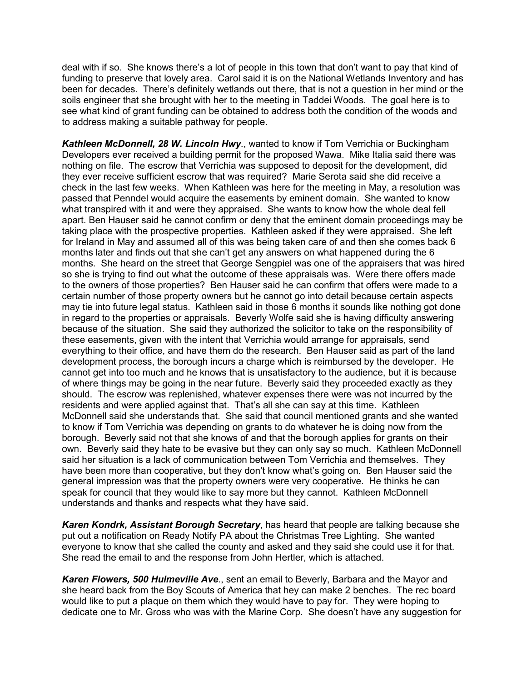deal with if so. She knows there's a lot of people in this town that don't want to pay that kind of funding to preserve that lovely area. Carol said it is on the National Wetlands Inventory and has been for decades. There's definitely wetlands out there, that is not a question in her mind or the soils engineer that she brought with her to the meeting in Taddei Woods. The goal here is to see what kind of grant funding can be obtained to address both the condition of the woods and to address making a suitable pathway for people.

*Kathleen McDonnell, 28 W. Lincoln Hwy*., wanted to know if Tom Verrichia or Buckingham Developers ever received a building permit for the proposed Wawa. Mike Italia said there was nothing on file. The escrow that Verrichia was supposed to deposit for the development, did they ever receive sufficient escrow that was required? Marie Serota said she did receive a check in the last few weeks. When Kathleen was here for the meeting in May, a resolution was passed that Penndel would acquire the easements by eminent domain. She wanted to know what transpired with it and were they appraised. She wants to know how the whole deal fell apart. Ben Hauser said he cannot confirm or deny that the eminent domain proceedings may be taking place with the prospective properties. Kathleen asked if they were appraised. She left for Ireland in May and assumed all of this was being taken care of and then she comes back 6 months later and finds out that she can't get any answers on what happened during the 6 months. She heard on the street that George Sengpiel was one of the appraisers that was hired so she is trying to find out what the outcome of these appraisals was. Were there offers made to the owners of those properties? Ben Hauser said he can confirm that offers were made to a certain number of those property owners but he cannot go into detail because certain aspects may tie into future legal status. Kathleen said in those 6 months it sounds like nothing got done in regard to the properties or appraisals. Beverly Wolfe said she is having difficulty answering because of the situation. She said they authorized the solicitor to take on the responsibility of these easements, given with the intent that Verrichia would arrange for appraisals, send everything to their office, and have them do the research. Ben Hauser said as part of the land development process, the borough incurs a charge which is reimbursed by the developer. He cannot get into too much and he knows that is unsatisfactory to the audience, but it is because of where things may be going in the near future. Beverly said they proceeded exactly as they should. The escrow was replenished, whatever expenses there were was not incurred by the residents and were applied against that. That's all she can say at this time. Kathleen McDonnell said she understands that. She said that council mentioned grants and she wanted to know if Tom Verrichia was depending on grants to do whatever he is doing now from the borough. Beverly said not that she knows of and that the borough applies for grants on their own. Beverly said they hate to be evasive but they can only say so much. Kathleen McDonnell said her situation is a lack of communication between Tom Verrichia and themselves. They have been more than cooperative, but they don't know what's going on. Ben Hauser said the general impression was that the property owners were very cooperative. He thinks he can speak for council that they would like to say more but they cannot. Kathleen McDonnell understands and thanks and respects what they have said.

*Karen Kondrk, Assistant Borough Secretary*, has heard that people are talking because she put out a notification on Ready Notify PA about the Christmas Tree Lighting. She wanted everyone to know that she called the county and asked and they said she could use it for that. She read the email to and the response from John Hertler, which is attached.

*Karen Flowers, 500 Hulmeville Ave*., sent an email to Beverly, Barbara and the Mayor and she heard back from the Boy Scouts of America that hey can make 2 benches. The rec board would like to put a plaque on them which they would have to pay for. They were hoping to dedicate one to Mr. Gross who was with the Marine Corp. She doesn't have any suggestion for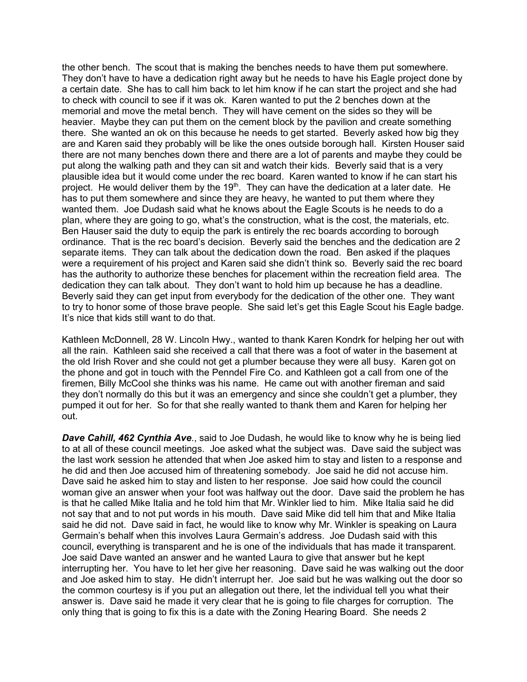the other bench. The scout that is making the benches needs to have them put somewhere. They don't have to have a dedication right away but he needs to have his Eagle project done by a certain date. She has to call him back to let him know if he can start the project and she had to check with council to see if it was ok. Karen wanted to put the 2 benches down at the memorial and move the metal bench. They will have cement on the sides so they will be heavier. Maybe they can put them on the cement block by the pavilion and create something there. She wanted an ok on this because he needs to get started. Beverly asked how big they are and Karen said they probably will be like the ones outside borough hall. Kirsten Houser said there are not many benches down there and there are a lot of parents and maybe they could be put along the walking path and they can sit and watch their kids. Beverly said that is a very plausible idea but it would come under the rec board. Karen wanted to know if he can start his project. He would deliver them by the  $19<sup>th</sup>$ . They can have the dedication at a later date. He has to put them somewhere and since they are heavy, he wanted to put them where they wanted them. Joe Dudash said what he knows about the Eagle Scouts is he needs to do a plan, where they are going to go, what's the construction, what is the cost, the materials, etc. Ben Hauser said the duty to equip the park is entirely the rec boards according to borough ordinance. That is the rec board's decision. Beverly said the benches and the dedication are 2 separate items. They can talk about the dedication down the road. Ben asked if the plaques were a requirement of his project and Karen said she didn't think so. Beverly said the rec board has the authority to authorize these benches for placement within the recreation field area. The dedication they can talk about. They don't want to hold him up because he has a deadline. Beverly said they can get input from everybody for the dedication of the other one. They want to try to honor some of those brave people. She said let's get this Eagle Scout his Eagle badge. It's nice that kids still want to do that.

Kathleen McDonnell, 28 W. Lincoln Hwy., wanted to thank Karen Kondrk for helping her out with all the rain. Kathleen said she received a call that there was a foot of water in the basement at the old Irish Rover and she could not get a plumber because they were all busy. Karen got on the phone and got in touch with the Penndel Fire Co. and Kathleen got a call from one of the firemen, Billy McCool she thinks was his name. He came out with another fireman and said they don't normally do this but it was an emergency and since she couldn't get a plumber, they pumped it out for her. So for that she really wanted to thank them and Karen for helping her out.

*Dave Cahill, 462 Cynthia Ave*., said to Joe Dudash, he would like to know why he is being lied to at all of these council meetings. Joe asked what the subject was. Dave said the subject was the last work session he attended that when Joe asked him to stay and listen to a response and he did and then Joe accused him of threatening somebody. Joe said he did not accuse him. Dave said he asked him to stay and listen to her response. Joe said how could the council woman give an answer when your foot was halfway out the door. Dave said the problem he has is that he called Mike Italia and he told him that Mr. Winkler lied to him. Mike Italia said he did not say that and to not put words in his mouth. Dave said Mike did tell him that and Mike Italia said he did not. Dave said in fact, he would like to know why Mr. Winkler is speaking on Laura Germain's behalf when this involves Laura Germain's address. Joe Dudash said with this council, everything is transparent and he is one of the individuals that has made it transparent. Joe said Dave wanted an answer and he wanted Laura to give that answer but he kept interrupting her. You have to let her give her reasoning. Dave said he was walking out the door and Joe asked him to stay. He didn't interrupt her. Joe said but he was walking out the door so the common courtesy is if you put an allegation out there, let the individual tell you what their answer is. Dave said he made it very clear that he is going to file charges for corruption. The only thing that is going to fix this is a date with the Zoning Hearing Board. She needs 2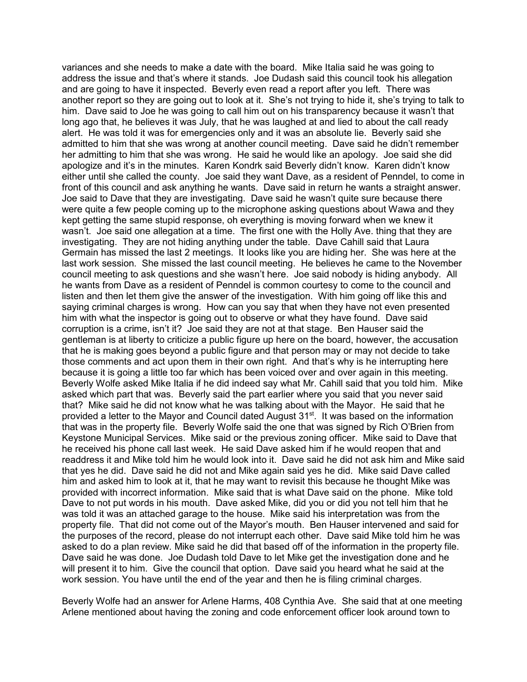variances and she needs to make a date with the board. Mike Italia said he was going to address the issue and that's where it stands. Joe Dudash said this council took his allegation and are going to have it inspected. Beverly even read a report after you left. There was another report so they are going out to look at it. She's not trying to hide it, she's trying to talk to him. Dave said to Joe he was going to call him out on his transparency because it wasn't that long ago that, he believes it was July, that he was laughed at and lied to about the call ready alert. He was told it was for emergencies only and it was an absolute lie. Beverly said she admitted to him that she was wrong at another council meeting. Dave said he didn't remember her admitting to him that she was wrong. He said he would like an apology. Joe said she did apologize and it's in the minutes. Karen Kondrk said Beverly didn't know. Karen didn't know either until she called the county. Joe said they want Dave, as a resident of Penndel, to come in front of this council and ask anything he wants. Dave said in return he wants a straight answer. Joe said to Dave that they are investigating. Dave said he wasn't quite sure because there were quite a few people coming up to the microphone asking questions about Wawa and they kept getting the same stupid response, oh everything is moving forward when we knew it wasn't. Joe said one allegation at a time. The first one with the Holly Ave. thing that they are investigating. They are not hiding anything under the table. Dave Cahill said that Laura Germain has missed the last 2 meetings. It looks like you are hiding her. She was here at the last work session. She missed the last council meeting. He believes he came to the November council meeting to ask questions and she wasn't here. Joe said nobody is hiding anybody. All he wants from Dave as a resident of Penndel is common courtesy to come to the council and listen and then let them give the answer of the investigation. With him going off like this and saying criminal charges is wrong. How can you say that when they have not even presented him with what the inspector is going out to observe or what they have found. Dave said corruption is a crime, isn't it? Joe said they are not at that stage. Ben Hauser said the gentleman is at liberty to criticize a public figure up here on the board, however, the accusation that he is making goes beyond a public figure and that person may or may not decide to take those comments and act upon them in their own right. And that's why is he interrupting here because it is going a little too far which has been voiced over and over again in this meeting. Beverly Wolfe asked Mike Italia if he did indeed say what Mr. Cahill said that you told him. Mike asked which part that was. Beverly said the part earlier where you said that you never said that? Mike said he did not know what he was talking about with the Mayor. He said that he provided a letter to the Mayor and Council dated August  $31^{st}$ . It was based on the information that was in the property file. Beverly Wolfe said the one that was signed by Rich O'Brien from Keystone Municipal Services. Mike said or the previous zoning officer. Mike said to Dave that he received his phone call last week. He said Dave asked him if he would reopen that and readdress it and Mike told him he would look into it. Dave said he did not ask him and Mike said that yes he did. Dave said he did not and Mike again said yes he did. Mike said Dave called him and asked him to look at it, that he may want to revisit this because he thought Mike was provided with incorrect information. Mike said that is what Dave said on the phone. Mike told Dave to not put words in his mouth. Dave asked Mike, did you or did you not tell him that he was told it was an attached garage to the house. Mike said his interpretation was from the property file. That did not come out of the Mayor's mouth. Ben Hauser intervened and said for the purposes of the record, please do not interrupt each other. Dave said Mike told him he was asked to do a plan review. Mike said he did that based off of the information in the property file. Dave said he was done. Joe Dudash told Dave to let Mike get the investigation done and he will present it to him. Give the council that option. Dave said you heard what he said at the work session. You have until the end of the year and then he is filing criminal charges.

Beverly Wolfe had an answer for Arlene Harms, 408 Cynthia Ave. She said that at one meeting Arlene mentioned about having the zoning and code enforcement officer look around town to